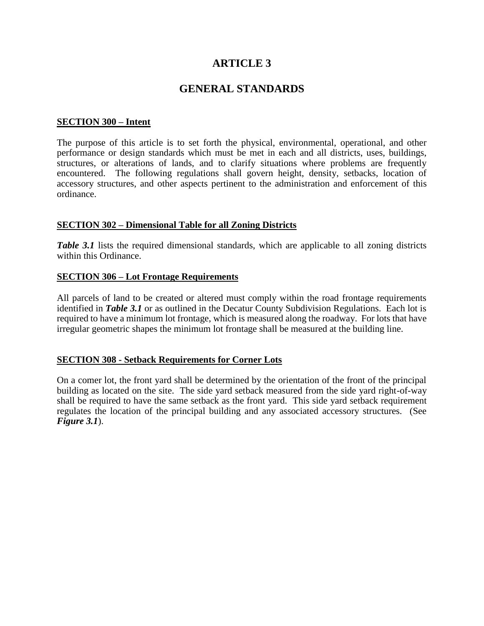# **ARTICLE 3**

# **GENERAL STANDARDS**

#### **SECTION 300 – Intent**

The purpose of this article is to set forth the physical, environmental, operational, and other performance or design standards which must be met in each and all districts, uses, buildings, structures, or alterations of lands, and to clarify situations where problems are frequently encountered. The following regulations shall govern height, density, setbacks, location of accessory structures, and other aspects pertinent to the administration and enforcement of this ordinance.

#### **SECTION 302 – Dimensional Table for all Zoning Districts**

*Table 3.1* lists the required dimensional standards, which are applicable to all zoning districts within this Ordinance.

#### **SECTION 306 – Lot Frontage Requirements**

All parcels of land to be created or altered must comply within the road frontage requirements identified in *Table 3.1* or as outlined in the Decatur County Subdivision Regulations. Each lot is required to have a minimum lot frontage, which is measured along the roadway. For lots that have irregular geometric shapes the minimum lot frontage shall be measured at the building line.

#### **SECTION 308 - Setback Requirements for Corner Lots**

On a comer lot, the front yard shall be determined by the orientation of the front of the principal building as located on the site. The side yard setback measured from the side yard right-of-way shall be required to have the same setback as the front yard. This side yard setback requirement regulates the location of the principal building and any associated accessory structures. (See *Figure 3.1*).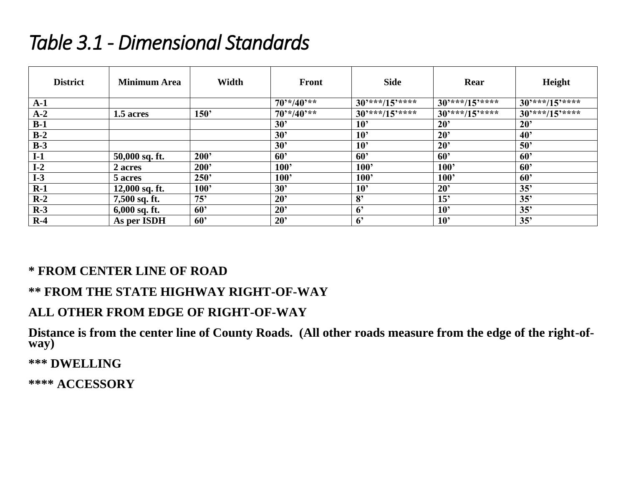# *Table 3.1 - Dimensional Standards*

| <b>District</b> | <b>Minimum Area</b> | Width | <b>Front</b>    | <b>Side</b>                    | Rear            | Height          |
|-----------------|---------------------|-------|-----------------|--------------------------------|-----------------|-----------------|
| $A-1$           |                     |       | $70^{4}/40^{4}$ | $30^{***}/15^{***}$            | $30***/15***$   | $30***/15***$   |
| $A-2$           | 1.5 acres           | 150   | $70^{4}/40^{4}$ | $30^{***}/\overline{15^{***}}$ | $30***/15***$   | $30***/15***$   |
| $B-1$           |                     |       | 30'             | 10 <sup>2</sup>                | $20^{\circ}$    | 20 <sup>2</sup> |
| $B-2$           |                     |       | 30'             | 10 <sup>2</sup>                | $20^{\circ}$    | 40 <sup>o</sup> |
| $B-3$           |                     |       | 30'             | 10 <sup>2</sup>                | $20^{\circ}$    | 50'             |
| $I-1$           | 50,000 sq. ft.      | 200'  | 60'             | 60'                            | $60^{\circ}$    | 60 <sup>o</sup> |
| $I-2$           | 2 acres             | 200'  | 100'            | 100'                           | 100'            | 60'             |
| $I-3$           | 5 acres             | 250'  | 100             | 100'                           | 100'            | 60 <sup>5</sup> |
| $R-1$           | $12,000$ sq. ft.    | 100'  | 30'             | 10 <sup>2</sup>                | $20^{\circ}$    | 35'             |
| $R-2$           | 7,500 sq. ft.       | 75'   | $20^{\circ}$    | 8 <sup>2</sup>                 | 15'             | 35'             |
| $R-3$           | $6,000$ sq. ft.     | 60'   | $20^{\circ}$    | 6 <sup>°</sup>                 | 10 <sup>2</sup> | 35'             |
| $R-4$           | As per ISDH         | 60'   | $20^{\circ}$    | 6 <sup>2</sup>                 | 10 <sup>2</sup> | 35'             |

# **\* FROM CENTER LINE OF ROAD**

# **\*\* FROM THE STATE HIGHWAY RIGHT-OF-WAY**

# **ALL OTHER FROM EDGE OF RIGHT-OF-WAY**

**Distance is from the center line of County Roads. (All other roads measure from the edge of the right-ofway)**

**\*\*\* DWELLING**

**\*\*\*\* ACCESSORY**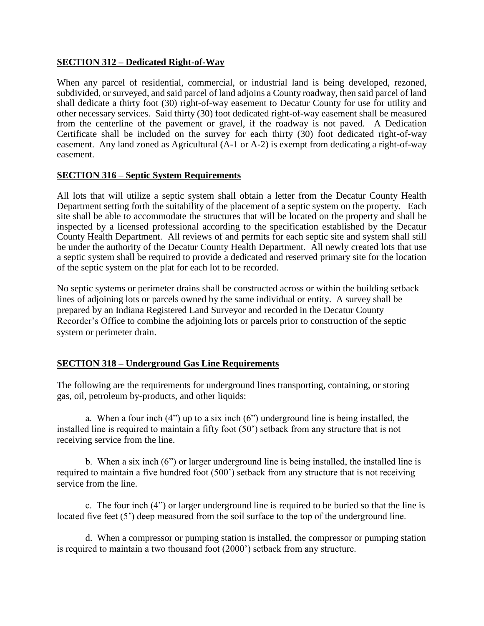#### **SECTION 312 – Dedicated Right-of-Way**

When any parcel of residential, commercial, or industrial land is being developed, rezoned, subdivided, or surveyed, and said parcel of land adjoins a County roadway, then said parcel of land shall dedicate a thirty foot (30) right-of-way easement to Decatur County for use for utility and other necessary services. Said thirty (30) foot dedicated right-of-way easement shall be measured from the centerline of the pavement or gravel, if the roadway is not paved. A Dedication Certificate shall be included on the survey for each thirty (30) foot dedicated right-of-way easement. Any land zoned as Agricultural (A-1 or A-2) is exempt from dedicating a right-of-way easement.

#### **SECTION 316 – Septic System Requirements**

All lots that will utilize a septic system shall obtain a letter from the Decatur County Health Department setting forth the suitability of the placement of a septic system on the property. Each site shall be able to accommodate the structures that will be located on the property and shall be inspected by a licensed professional according to the specification established by the Decatur County Health Department. All reviews of and permits for each septic site and system shall still be under the authority of the Decatur County Health Department. All newly created lots that use a septic system shall be required to provide a dedicated and reserved primary site for the location of the septic system on the plat for each lot to be recorded.

No septic systems or perimeter drains shall be constructed across or within the building setback lines of adjoining lots or parcels owned by the same individual or entity. A survey shall be prepared by an Indiana Registered Land Surveyor and recorded in the Decatur County Recorder's Office to combine the adjoining lots or parcels prior to construction of the septic system or perimeter drain.

# **SECTION 318 – Underground Gas Line Requirements**

The following are the requirements for underground lines transporting, containing, or storing gas, oil, petroleum by-products, and other liquids:

a. When a four inch (4") up to a six inch (6") underground line is being installed, the installed line is required to maintain a fifty foot (50') setback from any structure that is not receiving service from the line.

b. When a six inch (6") or larger underground line is being installed, the installed line is required to maintain a five hundred foot (500') setback from any structure that is not receiving service from the line.

c. The four inch (4") or larger underground line is required to be buried so that the line is located five feet (5') deep measured from the soil surface to the top of the underground line.

d. When a compressor or pumping station is installed, the compressor or pumping station is required to maintain a two thousand foot (2000') setback from any structure.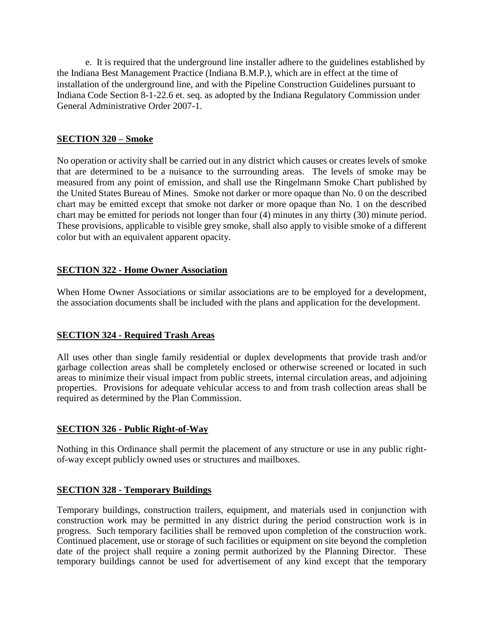e. It is required that the underground line installer adhere to the guidelines established by the Indiana Best Management Practice (Indiana B.M.P.), which are in effect at the time of installation of the underground line, and with the Pipeline Construction Guidelines pursuant to Indiana Code Section 8-1-22.6 et. seq. as adopted by the Indiana Regulatory Commission under General Administrative Order 2007-1.

# **SECTION 320 – Smoke**

No operation or activity shall be carried out in any district which causes or creates levels of smoke that are determined to be a nuisance to the surrounding areas. The levels of smoke may be measured from any point of emission, and shall use the Ringelmann Smoke Chart published by the United States Bureau of Mines. Smoke not darker or more opaque than No. 0 on the described chart may be emitted except that smoke not darker or more opaque than No. 1 on the described chart may be emitted for periods not longer than four (4) minutes in any thirty (30) minute period. These provisions, applicable to visible grey smoke, shall also apply to visible smoke of a different color but with an equivalent apparent opacity.

# **SECTION 322 - Home Owner Association**

When Home Owner Associations or similar associations are to be employed for a development, the association documents shall be included with the plans and application for the development.

# **SECTION 324 - Required Trash Areas**

All uses other than single family residential or duplex developments that provide trash and/or garbage collection areas shall be completely enclosed or otherwise screened or located in such areas to minimize their visual impact from public streets, internal circulation areas, and adjoining properties. Provisions for adequate vehicular access to and from trash collection areas shall be required as determined by the Plan Commission.

# **SECTION 326 - Public Right-of-Way**

Nothing in this Ordinance shall permit the placement of any structure or use in any public rightof-way except publicly owned uses or structures and mailboxes.

# **SECTION 328 - Temporary Buildings**

Temporary buildings, construction trailers, equipment, and materials used in conjunction with construction work may be permitted in any district during the period construction work is in progress. Such temporary facilities shall be removed upon completion of the construction work. Continued placement, use or storage of such facilities or equipment on site beyond the completion date of the project shall require a zoning permit authorized by the Planning Director. These temporary buildings cannot be used for advertisement of any kind except that the temporary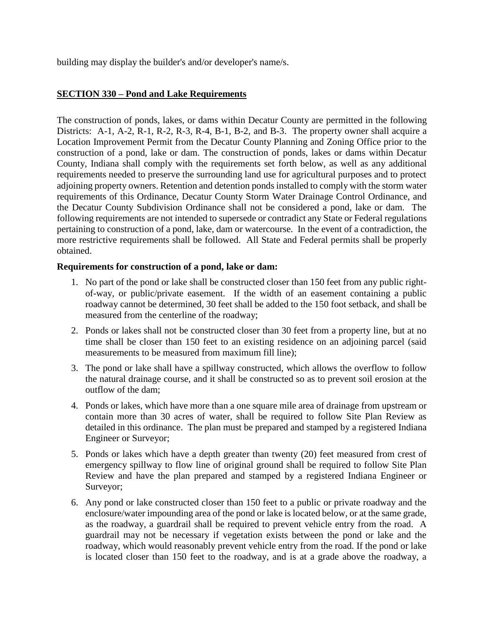building may display the builder's and/or developer's name/s.

# **SECTION 330 – Pond and Lake Requirements**

The construction of ponds, lakes, or dams within Decatur County are permitted in the following Districts: A-1, A-2, R-1, R-2, R-3, R-4, B-1, B-2, and B-3. The property owner shall acquire a Location Improvement Permit from the Decatur County Planning and Zoning Office prior to the construction of a pond, lake or dam. The construction of ponds, lakes or dams within Decatur County, Indiana shall comply with the requirements set forth below, as well as any additional requirements needed to preserve the surrounding land use for agricultural purposes and to protect adjoining property owners. Retention and detention ponds installed to comply with the storm water requirements of this Ordinance, Decatur County Storm Water Drainage Control Ordinance, and the Decatur County Subdivision Ordinance shall not be considered a pond, lake or dam. The following requirements are not intended to supersede or contradict any State or Federal regulations pertaining to construction of a pond, lake, dam or watercourse. In the event of a contradiction, the more restrictive requirements shall be followed. All State and Federal permits shall be properly obtained.

#### **Requirements for construction of a pond, lake or dam:**

- 1. No part of the pond or lake shall be constructed closer than 150 feet from any public rightof-way, or public/private easement. If the width of an easement containing a public roadway cannot be determined, 30 feet shall be added to the 150 foot setback, and shall be measured from the centerline of the roadway;
- 2. Ponds or lakes shall not be constructed closer than 30 feet from a property line, but at no time shall be closer than 150 feet to an existing residence on an adjoining parcel (said measurements to be measured from maximum fill line);
- 3. The pond or lake shall have a spillway constructed, which allows the overflow to follow the natural drainage course, and it shall be constructed so as to prevent soil erosion at the outflow of the dam;
- 4. Ponds or lakes, which have more than a one square mile area of drainage from upstream or contain more than 30 acres of water, shall be required to follow Site Plan Review as detailed in this ordinance. The plan must be prepared and stamped by a registered Indiana Engineer or Surveyor;
- 5. Ponds or lakes which have a depth greater than twenty (20) feet measured from crest of emergency spillway to flow line of original ground shall be required to follow Site Plan Review and have the plan prepared and stamped by a registered Indiana Engineer or Surveyor;
- 6. Any pond or lake constructed closer than 150 feet to a public or private roadway and the enclosure/water impounding area of the pond or lake is located below, or at the same grade, as the roadway, a guardrail shall be required to prevent vehicle entry from the road. A guardrail may not be necessary if vegetation exists between the pond or lake and the roadway, which would reasonably prevent vehicle entry from the road. If the pond or lake is located closer than 150 feet to the roadway, and is at a grade above the roadway, a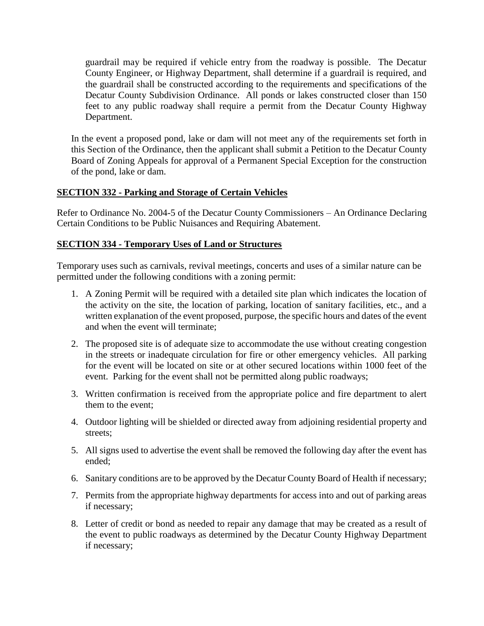guardrail may be required if vehicle entry from the roadway is possible. The Decatur County Engineer, or Highway Department, shall determine if a guardrail is required, and the guardrail shall be constructed according to the requirements and specifications of the Decatur County Subdivision Ordinance. All ponds or lakes constructed closer than 150 feet to any public roadway shall require a permit from the Decatur County Highway Department.

In the event a proposed pond, lake or dam will not meet any of the requirements set forth in this Section of the Ordinance, then the applicant shall submit a Petition to the Decatur County Board of Zoning Appeals for approval of a Permanent Special Exception for the construction of the pond, lake or dam.

# **SECTION 332 - Parking and Storage of Certain Vehicles**

Refer to Ordinance No. 2004-5 of the Decatur County Commissioners – An Ordinance Declaring Certain Conditions to be Public Nuisances and Requiring Abatement.

# **SECTION 334 - Temporary Uses of Land or Structures**

Temporary uses such as carnivals, revival meetings, concerts and uses of a similar nature can be permitted under the following conditions with a zoning permit:

- 1. A Zoning Permit will be required with a detailed site plan which indicates the location of the activity on the site, the location of parking, location of sanitary facilities, etc., and a written explanation of the event proposed, purpose, the specific hours and dates of the event and when the event will terminate;
- 2. The proposed site is of adequate size to accommodate the use without creating congestion in the streets or inadequate circulation for fire or other emergency vehicles. All parking for the event will be located on site or at other secured locations within 1000 feet of the event. Parking for the event shall not be permitted along public roadways;
- 3. Written confirmation is received from the appropriate police and fire department to alert them to the event;
- 4. Outdoor lighting will be shielded or directed away from adjoining residential property and streets;
- 5. All signs used to advertise the event shall be removed the following day after the event has ended;
- 6. Sanitary conditions are to be approved by the Decatur County Board of Health if necessary;
- 7. Permits from the appropriate highway departments for access into and out of parking areas if necessary;
- 8. Letter of credit or bond as needed to repair any damage that may be created as a result of the event to public roadways as determined by the Decatur County Highway Department if necessary;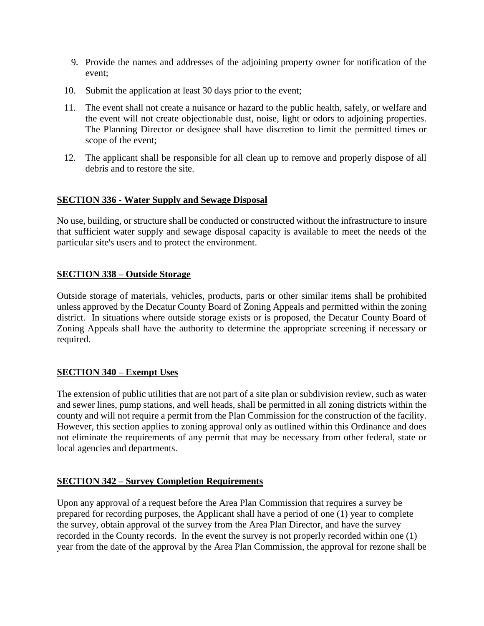- 9. Provide the names and addresses of the adjoining property owner for notification of the event;
- 10. Submit the application at least 30 days prior to the event;
- 11. The event shall not create a nuisance or hazard to the public health, safely, or welfare and the event will not create objectionable dust, noise, light or odors to adjoining properties. The Planning Director or designee shall have discretion to limit the permitted times or scope of the event;
- 12. The applicant shall be responsible for all clean up to remove and properly dispose of all debris and to restore the site.

# **SECTION 336 - Water Supply and Sewage Disposal**

No use, building, or structure shall be conducted or constructed without the infrastructure to insure that sufficient water supply and sewage disposal capacity is available to meet the needs of the particular site's users and to protect the environment.

#### **SECTION 338 – Outside Storage**

Outside storage of materials, vehicles, products, parts or other similar items shall be prohibited unless approved by the Decatur County Board of Zoning Appeals and permitted within the zoning district. In situations where outside storage exists or is proposed, the Decatur County Board of Zoning Appeals shall have the authority to determine the appropriate screening if necessary or required.

# **SECTION 340 – Exempt Uses**

The extension of public utilities that are not part of a site plan or subdivision review, such as water and sewer lines, pump stations, and well heads, shall be permitted in all zoning districts within the county and will not require a permit from the Plan Commission for the construction of the facility. However, this section applies to zoning approval only as outlined within this Ordinance and does not eliminate the requirements of any permit that may be necessary from other federal, state or local agencies and departments.

# **SECTION 342 – Survey Completion Requirements**

Upon any approval of a request before the Area Plan Commission that requires a survey be prepared for recording purposes, the Applicant shall have a period of one (1) year to complete the survey, obtain approval of the survey from the Area Plan Director, and have the survey recorded in the County records. In the event the survey is not properly recorded within one (1) year from the date of the approval by the Area Plan Commission, the approval for rezone shall be